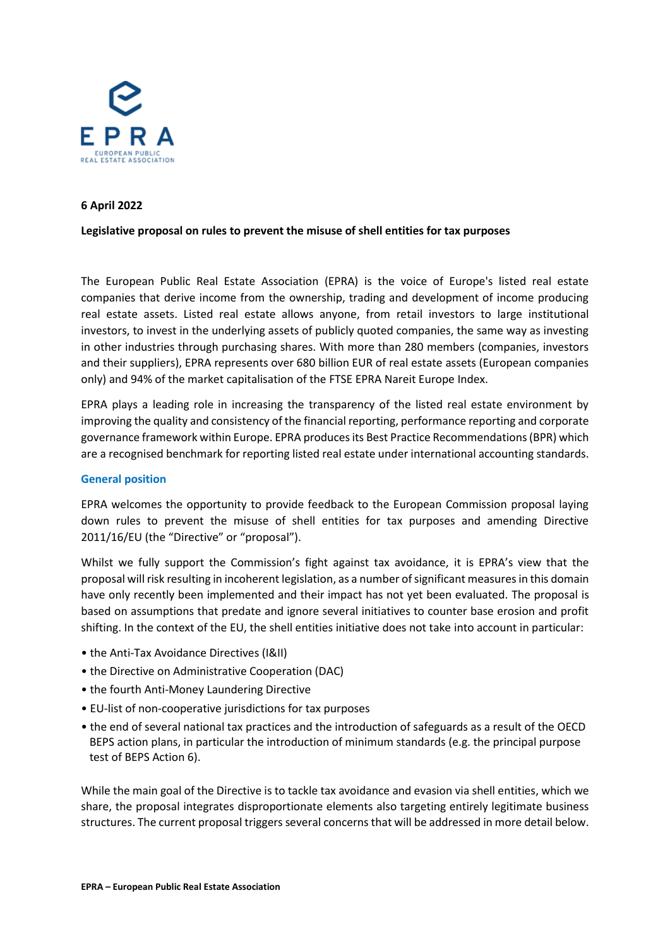

## **6 April 2022**

## **Legislative proposal on rules to prevent the misuse of shell entities for tax purposes**

The European Public Real Estate Association (EPRA) is the voice of Europe's listed real estate companies that derive income from the ownership, trading and development of income producing real estate assets. Listed real estate allows anyone, from retail investors to large institutional investors, to invest in the underlying assets of publicly quoted companies, the same way as investing in other industries through purchasing shares. With more than 280 members (companies, investors and their suppliers), EPRA represents over 680 billion EUR of real estate assets (European companies only) and 94% of the market capitalisation of the FTSE EPRA Nareit Europe Index.

EPRA plays a leading role in increasing the transparency of the listed real estate environment by improving the quality and consistency of the financial reporting, performance reporting and corporate governance framework within Europe. EPRA produces its Best Practice Recommendations (BPR) which are a recognised benchmark for reporting listed real estate under international accounting standards.

## **General position**

EPRA welcomes the opportunity to provide feedback to the European Commission proposal laying down rules to prevent the misuse of shell entities for tax purposes and amending Directive 2011/16/EU (the "Directive" or "proposal").

Whilst we fully support the Commission's fight against tax avoidance, it is EPRA's view that the proposal will risk resulting in incoherent legislation, as a number of significant measures in this domain have only recently been implemented and their impact has not yet been evaluated. The proposal is based on assumptions that predate and ignore several initiatives to counter base erosion and profit shifting. In the context of the EU, the shell entities initiative does not take into account in particular:

- the Anti-Tax Avoidance Directives (I&II)
- the Directive on Administrative Cooperation (DAC)
- the fourth Anti-Money Laundering Directive
- EU-list of non-cooperative jurisdictions for tax purposes
- the end of several national tax practices and the introduction of safeguards as a result of the OECD BEPS action plans, in particular the introduction of minimum standards (e.g. the principal purpose test of BEPS Action 6).

While the main goal of the Directive is to tackle tax avoidance and evasion via shell entities, which we share, the proposal integrates disproportionate elements also targeting entirely legitimate business structures. The current proposal triggers several concerns that will be addressed in more detail below.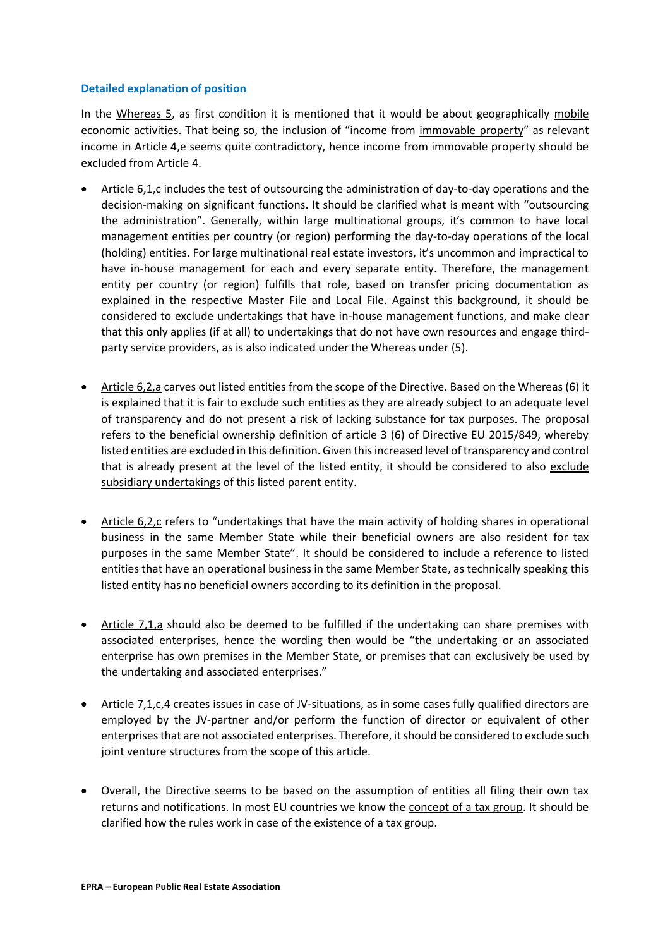## **Detailed explanation of position**

In the Whereas 5, as first condition it is mentioned that it would be about geographically mobile economic activities. That being so, the inclusion of "income from immovable property" as relevant income in Article 4,e seems quite contradictory, hence income from immovable property should be excluded from Article 4.

- Article 6,1,c includes the test of outsourcing the administration of day-to-day operations and the decision-making on significant functions. It should be clarified what is meant with "outsourcing the administration". Generally, within large multinational groups, it's common to have local management entities per country (or region) performing the day-to-day operations of the local (holding) entities. For large multinational real estate investors, it's uncommon and impractical to have in-house management for each and every separate entity. Therefore, the management entity per country (or region) fulfills that role, based on transfer pricing documentation as explained in the respective Master File and Local File. Against this background, it should be considered to exclude undertakings that have in-house management functions, and make clear that this only applies (if at all) to undertakings that do not have own resources and engage thirdparty service providers, as is also indicated under the Whereas under (5).
- Article 6,2,a carves out listed entities from the scope of the Directive. Based on the Whereas (6) it is explained that it is fair to exclude such entities as they are already subject to an adequate level of transparency and do not present a risk of lacking substance for tax purposes. The proposal refers to the beneficial ownership definition of article 3 (6) of Directive EU 2015/849, whereby listed entities are excluded in this definition. Given this increased level of transparency and control that is already present at the level of the listed entity, it should be considered to also exclude subsidiary undertakings of this listed parent entity.
- Article 6,2,c refers to "undertakings that have the main activity of holding shares in operational business in the same Member State while their beneficial owners are also resident for tax purposes in the same Member State". It should be considered to include a reference to listed entities that have an operational business in the same Member State, as technically speaking this listed entity has no beneficial owners according to its definition in the proposal.
- Article 7,1,a should also be deemed to be fulfilled if the undertaking can share premises with associated enterprises, hence the wording then would be "the undertaking or an associated enterprise has own premises in the Member State, or premises that can exclusively be used by the undertaking and associated enterprises."
- Article 7,1,c,4 creates issues in case of JV-situations, as in some cases fully qualified directors are employed by the JV-partner and/or perform the function of director or equivalent of other enterprises that are not associated enterprises. Therefore, it should be considered to exclude such joint venture structures from the scope of this article.
- Overall, the Directive seems to be based on the assumption of entities all filing their own tax returns and notifications. In most EU countries we know the concept of a tax group. It should be clarified how the rules work in case of the existence of a tax group.